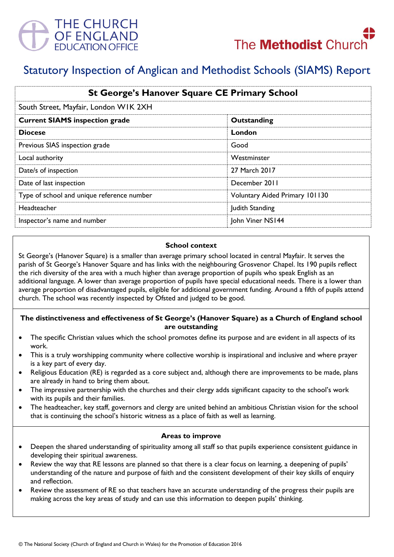



# Statutory Inspection of Anglican and Methodist Schools (SIAMS) Report

| <b>St George's Hanover Square CE Primary School</b><br>South Street, Mayfair, London WIK 2XH |                                       |
|----------------------------------------------------------------------------------------------|---------------------------------------|
|                                                                                              |                                       |
| <b>Diocese</b>                                                                               | London                                |
| Previous SIAS inspection grade                                                               | Good                                  |
| Local authority                                                                              | Westminster                           |
| Date/s of inspection                                                                         | 27 March 2017                         |
| Date of last inspection                                                                      | December 2011                         |
| Type of school and unique reference number                                                   | <b>Voluntary Aided Primary 101130</b> |
| Headteacher                                                                                  | Judith Standing                       |
| Inspector's name and number                                                                  | John Viner NS144                      |

## **School context**

St George's (Hanover Square) is a smaller than average primary school located in central Mayfair. It serves the parish of St George's Hanover Square and has links with the neighbouring Grosvenor Chapel. Its 190 pupils reflect the rich diversity of the area with a much higher than average proportion of pupils who speak English as an additional language. A lower than average proportion of pupils have special educational needs. There is a lower than average proportion of disadvantaged pupils, eligible for additional government funding. Around a fifth of pupils attend church. The school was recently inspected by Ofsted and judged to be good.

## **The distinctiveness and effectiveness of St George's (Hanover Square) as a Church of England school are outstanding**

- The specific Christian values which the school promotes define its purpose and are evident in all aspects of its work.
- This is a truly worshipping community where collective worship is inspirational and inclusive and where prayer is a key part of every day.
- Religious Education (RE) is regarded as a core subject and, although there are improvements to be made, plans are already in hand to bring them about.
- The impressive partnership with the churches and their clergy adds significant capacity to the school's work with its pupils and their families.
- The headteacher, key staff, governors and clergy are united behind an ambitious Christian vision for the school that is continuing the school's historic witness as a place of faith as well as learning.

## **Areas to improve**

- Deepen the shared understanding of spirituality among all staff so that pupils experience consistent guidance in developing their spiritual awareness.
- Review the way that RE lessons are planned so that there is a clear focus on learning, a deepening of pupils' understanding of the nature and purpose of faith and the consistent development of their key skills of enquiry and reflection.
- Review the assessment of RE so that teachers have an accurate understanding of the progress their pupils are making across the key areas of study and can use this information to deepen pupils' thinking.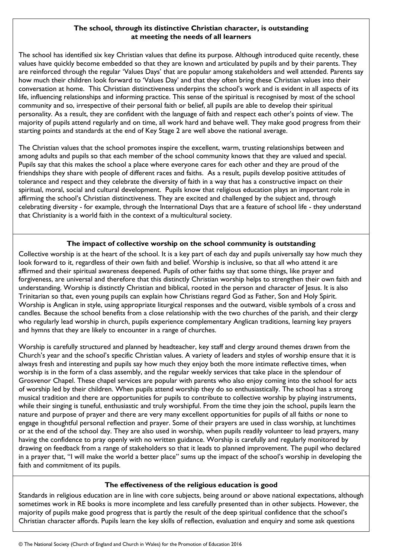# **The school, through its distinctive Christian character, is outstanding at meeting the needs of all learners**

The school has identified six key Christian values that define its purpose. Although introduced quite recently, these values have quickly become embedded so that they are known and articulated by pupils and by their parents. They are reinforced through the regular 'Values Days' that are popular among stakeholders and well attended. Parents say how much their children look forward to 'Values Day' and that they often bring these Christian values into their conversation at home. This Christian distinctiveness underpins the school's work and is evident in all aspects of its life, influencing relationships and informing practice. This sense of the spiritual is recognised by most of the school community and so, irrespective of their personal faith or belief, all pupils are able to develop their spiritual personality. As a result, they are confident with the language of faith and respect each other's points of view. The majority of pupils attend regularly and on time, all work hard and behave well. They make good progress from their starting points and standards at the end of Key Stage 2 are well above the national average.

The Christian values that the school promotes inspire the excellent, warm, trusting relationships between and among adults and pupils so that each member of the school community knows that they are valued and special. Pupils say that this makes the school a place where everyone cares for each other and they are proud of the friendships they share with people of different races and faiths. As a result, pupils develop positive attitudes of tolerance and respect and they celebrate the diversity of faith in a way that has a constructive impact on their spiritual, moral, social and cultural development. Pupils know that religious education plays an important role in affirming the school's Christian distinctiveness. They are excited and challenged by the subject and, through celebrating diversity - for example, through the International Days that are a feature of school life - they understand that Christianity is a world faith in the context of a multicultural society.

## **The impact of collective worship on the school community is outstanding**

Collective worship is at the heart of the school. It is a key part of each day and pupils universally say how much they look forward to it, regardless of their own faith and belief. Worship is inclusive, so that all who attend it are affirmed and their spiritual awareness deepened. Pupils of other faiths say that some things, like prayer and forgiveness, are universal and therefore that this distinctly Christian worship helps to strengthen their own faith and understanding. Worship is distinctly Christian and biblical, rooted in the person and character of Jesus. It is also Trinitarian so that, even young pupils can explain how Christians regard God as Father, Son and Holy Spirit. Worship is Anglican in style, using appropriate liturgical responses and the outward, visible symbols of a cross and candles. Because the school benefits from a close relationship with the two churches of the parish, and their clergy who regularly lead worship in church, pupils experience complementary Anglican traditions, learning key prayers and hymns that they are likely to encounter in a range of churches.

Worship is carefully structured and planned by headteacher, key staff and clergy around themes drawn from the Church's year and the school's specific Christian values. A variety of leaders and styles of worship ensure that it is always fresh and interesting and pupils say how much they enjoy both the more intimate reflective times, when worship is in the form of a class assembly, and the regular weekly services that take place in the splendour of Grosvenor Chapel. These chapel services are popular with parents who also enjoy coming into the school for acts of worship led by their children. When pupils attend worship they do so enthusiastically. The school has a strong musical tradition and there are opportunities for pupils to contribute to collective worship by playing instruments, while their singing is tuneful, enthusiastic and truly worshipful. From the time they join the school, pupils learn the nature and purpose of prayer and there are very many excellent opportunities for pupils of all faiths or none to engage in thoughtful personal reflection and prayer. Some of their prayers are used in class worship, at lunchtimes or at the end of the school day. They are also used in worship, when pupils readily volunteer to lead prayers, many having the confidence to pray openly with no written guidance. Worship is carefully and regularly monitored by drawing on feedback from a range of stakeholders so that it leads to planned improvement. The pupil who declared in a prayer that, "I will make the world a better place" sums up the impact of the school's worship in developing the faith and commitment of its pupils.

## **The effectiveness of the religious education is good**

Standards in religious education are in line with core subjects, being around or above national expectations, although sometimes work in RE books is more incomplete and less carefully presented than in other subjects. However, the majority of pupils make good progress that is partly the result of the deep spiritual confidence that the school's Christian character affords. Pupils learn the key skills of reflection, evaluation and enquiry and some ask questions